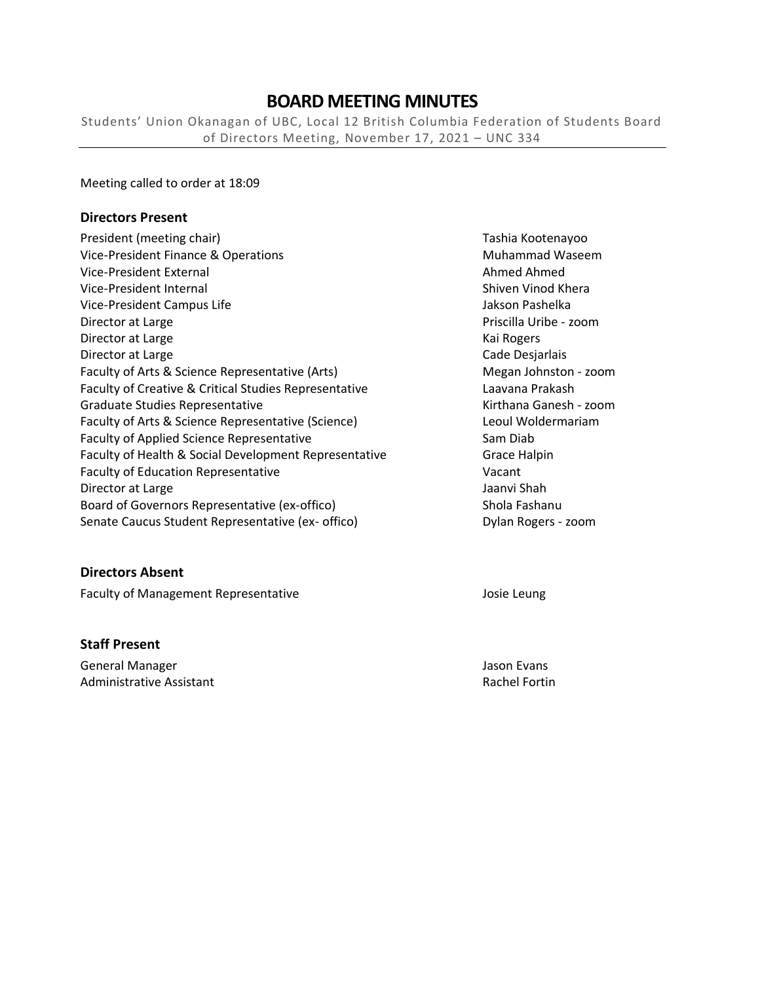# **BOARD MEETING MINUTES**

Students' Union Okanagan of UBC, Local 12 British Columbia Federation of Students Board of Directors Meeting, November 17, 2021 – UNC 334

Meeting called to order at 18:09

#### **Directors Present**

| President (meeting chair)                             | Tashia Ko   |
|-------------------------------------------------------|-------------|
| Vice-President Finance & Operations                   | Muhamm      |
| Vice-President External                               | Ahmed A     |
| Vice-President Internal                               | Shiven Vi   |
| Vice-President Campus Life                            | Jakson Pa   |
| Director at Large                                     | Priscilla U |
| Director at Large                                     | Kai Roger   |
| Director at Large                                     | Cade Des    |
| Faculty of Arts & Science Representative (Arts)       | Megan Jo    |
| Faculty of Creative & Critical Studies Representative | Laavana F   |
| <b>Graduate Studies Representative</b>                | Kirthana    |
| Faculty of Arts & Science Representative (Science)    | Leoul Wo    |
| Faculty of Applied Science Representative             | Sam Diab    |
| Faculty of Health & Social Development Representative | Grace Hal   |
| <b>Faculty of Education Representative</b>            | Vacant      |
| Director at Large                                     | Jaanvi Sha  |
| Board of Governors Representative (ex-offico)         | Shola Fas   |
| Senate Caucus Student Representative (ex- offico)     | Dylan Rog   |

#### **Directors Absent**

Faculty of Management Representative **Faculty of Management Representative** Josie Leung

#### **Staff Present**

General Manager Jason Evans Administrative Assistant **Rachel Fortin** Rachel Fortin

Tashia Kootenayoo **Muhammad Waseem** Ahmed Ahmed Shiven Vinod Khera Jakson Pashelka Priscilla Uribe - zoom Kai Rogers Cade Desjarlais Megan Johnston - zoom Laavana Prakash Kirthana Ganesh - zoom Leoul Woldermariam Grace Halpin Jaanvi Shah Shola Fashanu Dylan Rogers - zoom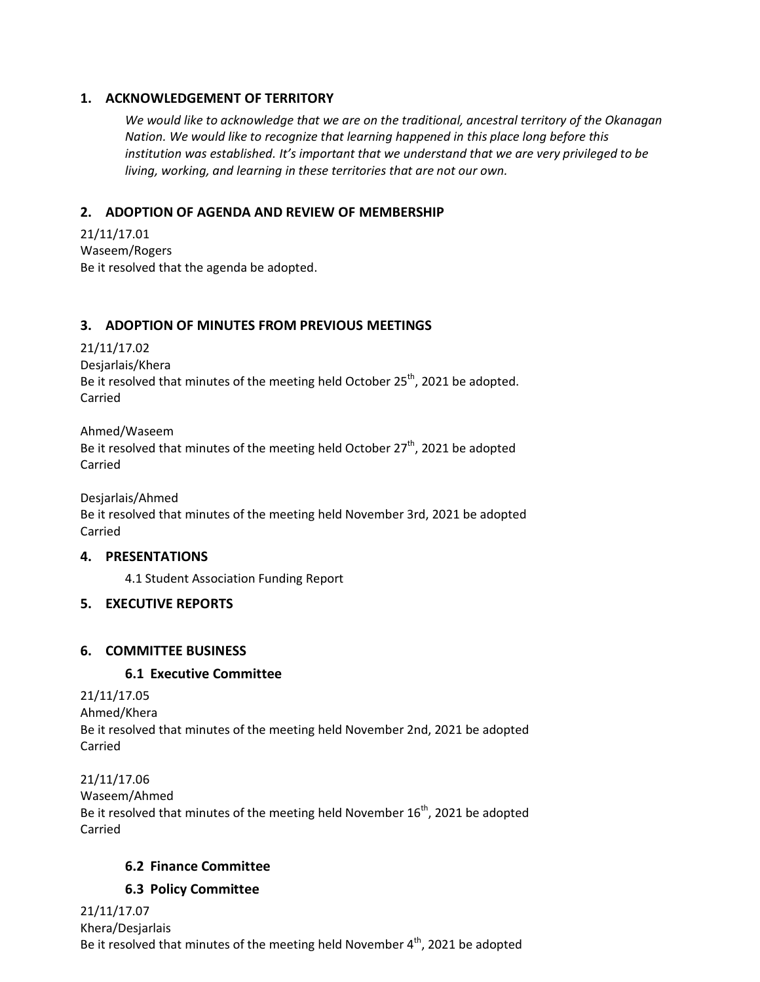### **1. ACKNOWLEDGEMENT OF TERRITORY**

*We would like to acknowledge that we are on the traditional, ancestral territory of the Okanagan Nation. We would like to recognize that learning happened in this place long before this institution was established. It's important that we understand that we are very privileged to be living, working, and learning in these territories that are not our own.*

# **2. ADOPTION OF AGENDA AND REVIEW OF MEMBERSHIP**

21/11/17.01 Waseem/Rogers Be it resolved that the agenda be adopted.

### **3. ADOPTION OF MINUTES FROM PREVIOUS MEETINGS**

21/11/17.02 Desjarlais/Khera Be it resolved that minutes of the meeting held October  $25<sup>th</sup>$ , 2021 be adopted. Carried

Ahmed/Waseem Be it resolved that minutes of the meeting held October  $27<sup>th</sup>$ , 2021 be adopted Carried

Desjarlais/Ahmed Be it resolved that minutes of the meeting held November 3rd, 2021 be adopted Carried

### **4. PRESENTATIONS**

4.1 Student Association Funding Report

## **5. EXECUTIVE REPORTS**

## **6. COMMITTEE BUSINESS**

## **6.1 Executive Committee**

21/11/17.05 Ahmed/Khera Be it resolved that minutes of the meeting held November 2nd, 2021 be adopted Carried

21/11/17.06 Waseem/Ahmed Be it resolved that minutes of the meeting held November  $16<sup>th</sup>$ , 2021 be adopted Carried

## **6.2 Finance Committee**

## **6.3 Policy Committee**

21/11/17.07 Khera/Desjarlais Be it resolved that minutes of the meeting held November  $4<sup>th</sup>$ , 2021 be adopted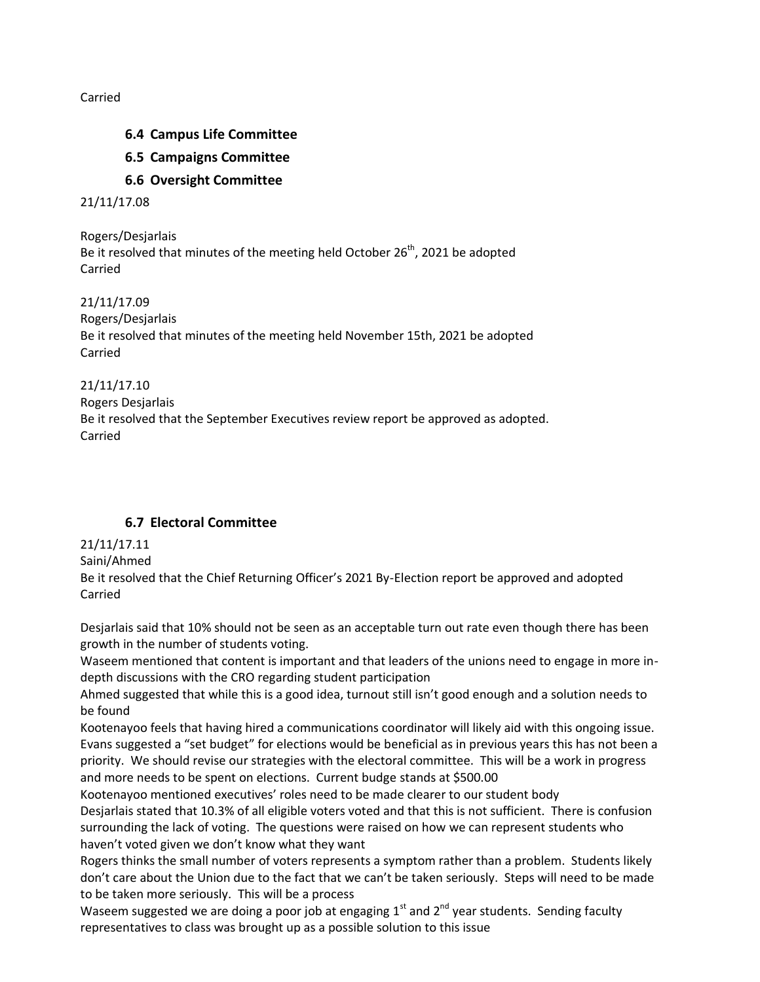Carried

- **6.4 Campus Life Committee**
- **6.5 Campaigns Committee**
- **6.6 Oversight Committee**

21/11/17.08

Rogers/Desjarlais Be it resolved that minutes of the meeting held October 26<sup>th</sup>, 2021 be adopted Carried

21/11/17.09 Rogers/Desjarlais Be it resolved that minutes of the meeting held November 15th, 2021 be adopted Carried

21/11/17.10 Rogers Desjarlais Be it resolved that the September Executives review report be approved as adopted. Carried

## **6.7 Electoral Committee**

21/11/17.11

Saini/Ahmed

Be it resolved that the Chief Returning Officer's 2021 By-Election report be approved and adopted Carried

Desjarlais said that 10% should not be seen as an acceptable turn out rate even though there has been growth in the number of students voting.

Waseem mentioned that content is important and that leaders of the unions need to engage in more indepth discussions with the CRO regarding student participation

Ahmed suggested that while this is a good idea, turnout still isn't good enough and a solution needs to be found

Kootenayoo feels that having hired a communications coordinator will likely aid with this ongoing issue. Evans suggested a "set budget" for elections would be beneficial as in previous years this has not been a priority. We should revise our strategies with the electoral committee. This will be a work in progress and more needs to be spent on elections. Current budge stands at \$500.00

Kootenayoo mentioned executives' roles need to be made clearer to our student body Desjarlais stated that 10.3% of all eligible voters voted and that this is not sufficient. There is confusion surrounding the lack of voting. The questions were raised on how we can represent students who haven't voted given we don't know what they want

Rogers thinks the small number of voters represents a symptom rather than a problem. Students likely don't care about the Union due to the fact that we can't be taken seriously. Steps will need to be made to be taken more seriously. This will be a process

Waseem suggested we are doing a poor job at engaging  $1<sup>st</sup>$  and  $2<sup>nd</sup>$  year students. Sending faculty representatives to class was brought up as a possible solution to this issue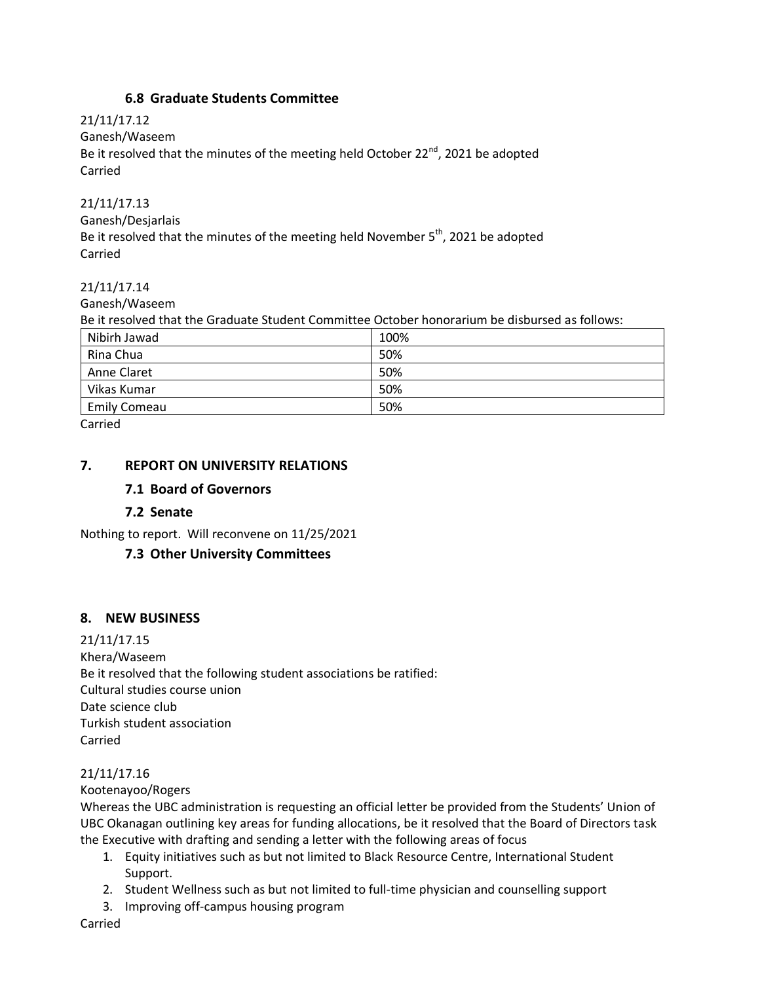### **6.8 Graduate Students Committee**

21/11/17.12 Ganesh/Waseem Be it resolved that the minutes of the meeting held October  $22^{nd}$ , 2021 be adopted Carried

### 21/11/17.13

Ganesh/Desjarlais Be it resolved that the minutes of the meeting held November  $5<sup>th</sup>$ , 2021 be adopted Carried

### 21/11/17.14

Ganesh/Waseem

Be it resolved that the Graduate Student Committee October honorarium be disbursed as follows:

| Nibirh Jawad        | 100% |
|---------------------|------|
| Rina Chua           | 50%  |
| Anne Claret         | 50%  |
| Vikas Kumar         | 50%  |
| <b>Emily Comeau</b> | 50%  |
| .                   |      |

Carried

### **7. REPORT ON UNIVERSITY RELATIONS**

### **7.1 Board of Governors**

### **7.2 Senate**

Nothing to report. Will reconvene on 11/25/2021

### **7.3 Other University Committees**

### **8. NEW BUSINESS**

21/11/17.15 Khera/Waseem Be it resolved that the following student associations be ratified: Cultural studies course union Date science club Turkish student association Carried

### 21/11/17.16

Kootenayoo/Rogers

Whereas the UBC administration is requesting an official letter be provided from the Students' Union of UBC Okanagan outlining key areas for funding allocations, be it resolved that the Board of Directors task the Executive with drafting and sending a letter with the following areas of focus

- 1. Equity initiatives such as but not limited to Black Resource Centre, International Student Support.
- 2. Student Wellness such as but not limited to full-time physician and counselling support
- 3. Improving off-campus housing program

Carried